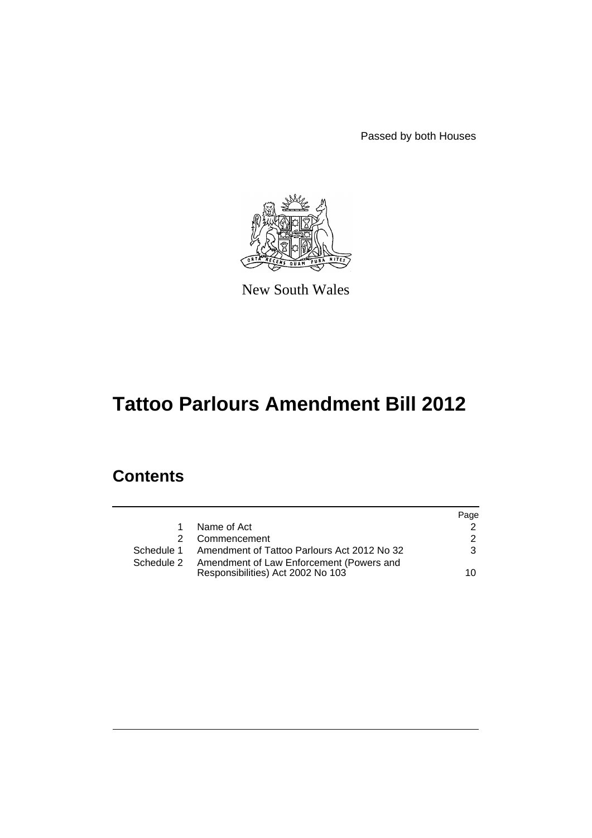Passed by both Houses



New South Wales

# **Tattoo Parlours Amendment Bill 2012**

## **Contents**

|             |                                                                               | Page          |
|-------------|-------------------------------------------------------------------------------|---------------|
| $\mathbf 1$ | Name of Act                                                                   |               |
| 2           | Commencement                                                                  | $\mathcal{P}$ |
|             | Schedule 1 Amendment of Tattoo Parlours Act 2012 No 32                        | 3             |
| Schedule 2  | Amendment of Law Enforcement (Powers and<br>Responsibilities) Act 2002 No 103 | 10            |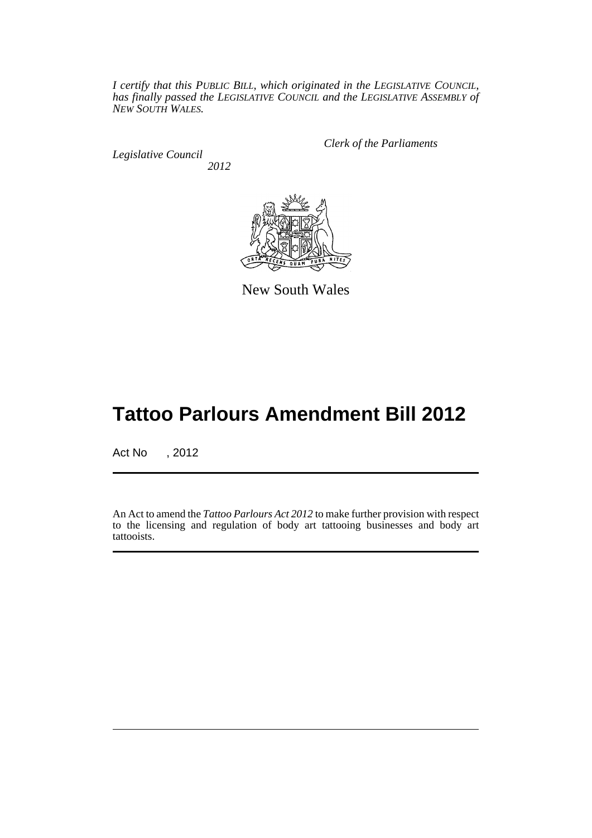*I certify that this PUBLIC BILL, which originated in the LEGISLATIVE COUNCIL, has finally passed the LEGISLATIVE COUNCIL and the LEGISLATIVE ASSEMBLY of NEW SOUTH WALES.*

*Legislative Council 2012* *Clerk of the Parliaments*



New South Wales

## **Tattoo Parlours Amendment Bill 2012**

Act No , 2012

An Act to amend the *Tattoo Parlours Act 2012* to make further provision with respect to the licensing and regulation of body art tattooing businesses and body art tattooists.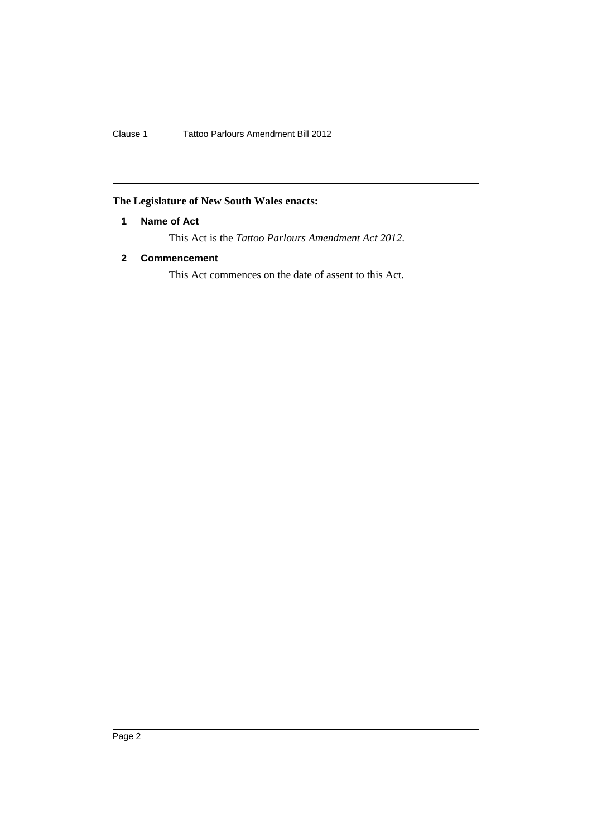Clause 1 Tattoo Parlours Amendment Bill 2012

## <span id="page-3-0"></span>**The Legislature of New South Wales enacts:**

## **1 Name of Act**

This Act is the *Tattoo Parlours Amendment Act 2012*.

## <span id="page-3-1"></span>**2 Commencement**

This Act commences on the date of assent to this Act.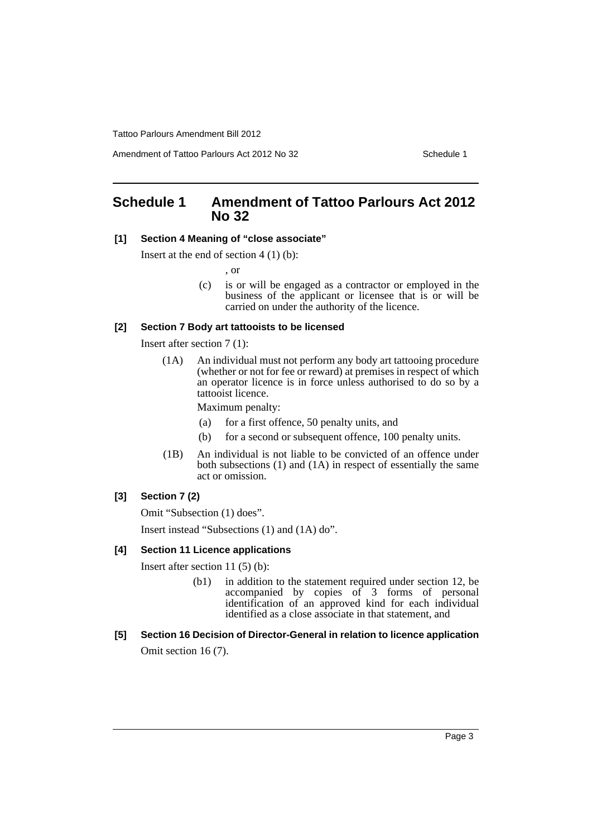Amendment of Tattoo Parlours Act 2012 No 32 Schedule 1

## <span id="page-4-0"></span>**Schedule 1 Amendment of Tattoo Parlours Act 2012 No 32**

## **[1] Section 4 Meaning of "close associate"**

Insert at the end of section  $4(1)(b)$ :

, or

(c) is or will be engaged as a contractor or employed in the business of the applicant or licensee that is or will be carried on under the authority of the licence.

#### **[2] Section 7 Body art tattooists to be licensed**

Insert after section 7 (1):

(1A) An individual must not perform any body art tattooing procedure (whether or not for fee or reward) at premises in respect of which an operator licence is in force unless authorised to do so by a tattooist licence.

Maximum penalty:

- (a) for a first offence, 50 penalty units, and
- (b) for a second or subsequent offence, 100 penalty units.
- (1B) An individual is not liable to be convicted of an offence under both subsections (1) and (1A) in respect of essentially the same act or omission.

#### **[3] Section 7 (2)**

Omit "Subsection (1) does".

Insert instead "Subsections (1) and (1A) do".

#### **[4] Section 11 Licence applications**

Insert after section 11 (5) (b):

- (b1) in addition to the statement required under section 12, be accompanied by copies of 3 forms of personal identification of an approved kind for each individual identified as a close associate in that statement, and
- **[5] Section 16 Decision of Director-General in relation to licence application** Omit section 16 (7).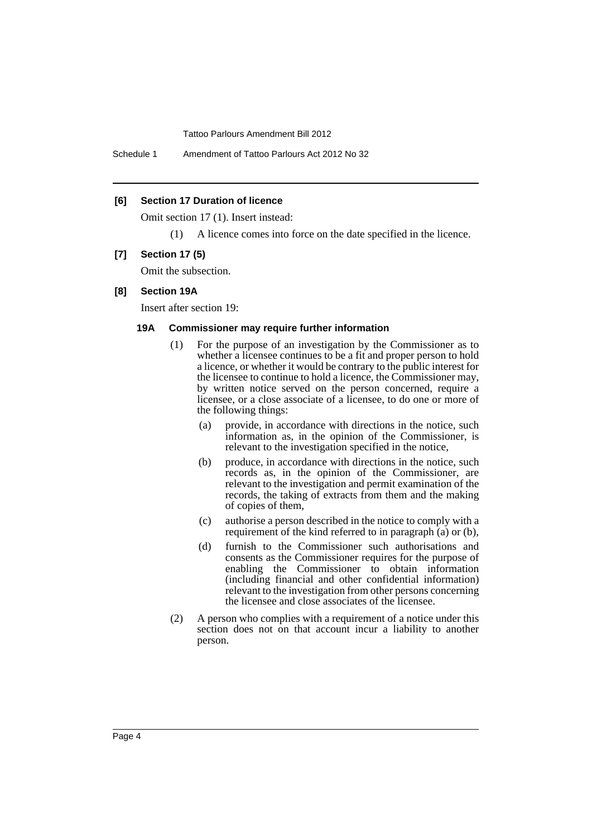Schedule 1 Amendment of Tattoo Parlours Act 2012 No 32

#### **[6] Section 17 Duration of licence**

Omit section 17 (1). Insert instead:

(1) A licence comes into force on the date specified in the licence.

#### **[7] Section 17 (5)**

Omit the subsection.

#### **[8] Section 19A**

Insert after section 19:

#### **19A Commissioner may require further information**

- (1) For the purpose of an investigation by the Commissioner as to whether a licensee continues to be a fit and proper person to hold a licence, or whether it would be contrary to the public interest for the licensee to continue to hold a licence, the Commissioner may, by written notice served on the person concerned, require a licensee, or a close associate of a licensee, to do one or more of the following things:
	- (a) provide, in accordance with directions in the notice, such information as, in the opinion of the Commissioner, is relevant to the investigation specified in the notice,
	- (b) produce, in accordance with directions in the notice, such records as, in the opinion of the Commissioner, are relevant to the investigation and permit examination of the records, the taking of extracts from them and the making of copies of them,
	- (c) authorise a person described in the notice to comply with a requirement of the kind referred to in paragraph (a) or (b),
	- (d) furnish to the Commissioner such authorisations and consents as the Commissioner requires for the purpose of enabling the Commissioner to obtain information (including financial and other confidential information) relevant to the investigation from other persons concerning the licensee and close associates of the licensee.
- (2) A person who complies with a requirement of a notice under this section does not on that account incur a liability to another person.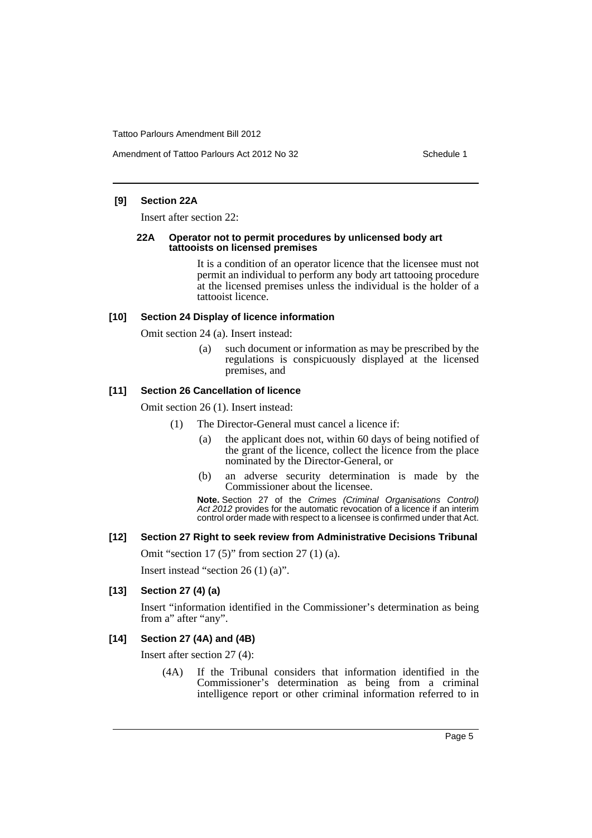#### **[9] Section 22A**

Insert after section 22:

#### **22A Operator not to permit procedures by unlicensed body art tattooists on licensed premises**

It is a condition of an operator licence that the licensee must not permit an individual to perform any body art tattooing procedure at the licensed premises unless the individual is the holder of a tattooist licence.

#### **[10] Section 24 Display of licence information**

Omit section 24 (a). Insert instead:

(a) such document or information as may be prescribed by the regulations is conspicuously displayed at the licensed premises, and

#### **[11] Section 26 Cancellation of licence**

Omit section 26 (1). Insert instead:

- (1) The Director-General must cancel a licence if:
	- (a) the applicant does not, within 60 days of being notified of the grant of the licence, collect the licence from the place nominated by the Director-General, or
	- (b) an adverse security determination is made by the Commissioner about the licensee.

**Note.** Section 27 of the *Crimes (Criminal Organisations Control) Act 2012* provides for the automatic revocation of a licence if an interim control order made with respect to a licensee is confirmed under that Act.

#### **[12] Section 27 Right to seek review from Administrative Decisions Tribunal**

Omit "section 17 (5)" from section 27 (1) (a).

Insert instead "section 26 (1) (a)".

#### **[13] Section 27 (4) (a)**

Insert "information identified in the Commissioner's determination as being from a" after "any".

#### **[14] Section 27 (4A) and (4B)**

Insert after section 27 (4):

(4A) If the Tribunal considers that information identified in the Commissioner's determination as being from a criminal intelligence report or other criminal information referred to in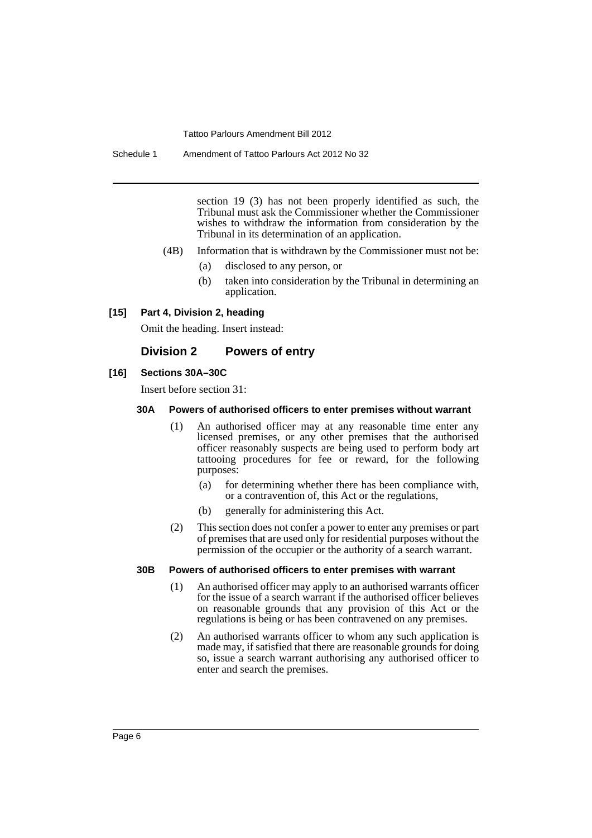section 19 (3) has not been properly identified as such, the Tribunal must ask the Commissioner whether the Commissioner wishes to withdraw the information from consideration by the Tribunal in its determination of an application.

- (4B) Information that is withdrawn by the Commissioner must not be:
	- (a) disclosed to any person, or
	- (b) taken into consideration by the Tribunal in determining an application.

#### **[15] Part 4, Division 2, heading**

Omit the heading. Insert instead:

#### **Division 2 Powers of entry**

#### **[16] Sections 30A–30C**

Insert before section 31:

#### **30A Powers of authorised officers to enter premises without warrant**

- (1) An authorised officer may at any reasonable time enter any licensed premises, or any other premises that the authorised officer reasonably suspects are being used to perform body art tattooing procedures for fee or reward, for the following purposes:
	- (a) for determining whether there has been compliance with, or a contravention of, this Act or the regulations,
	- (b) generally for administering this Act.
- (2) This section does not confer a power to enter any premises or part of premises that are used only for residential purposes without the permission of the occupier or the authority of a search warrant.

#### **30B Powers of authorised officers to enter premises with warrant**

- (1) An authorised officer may apply to an authorised warrants officer for the issue of a search warrant if the authorised officer believes on reasonable grounds that any provision of this Act or the regulations is being or has been contravened on any premises.
- (2) An authorised warrants officer to whom any such application is made may, if satisfied that there are reasonable grounds for doing so, issue a search warrant authorising any authorised officer to enter and search the premises.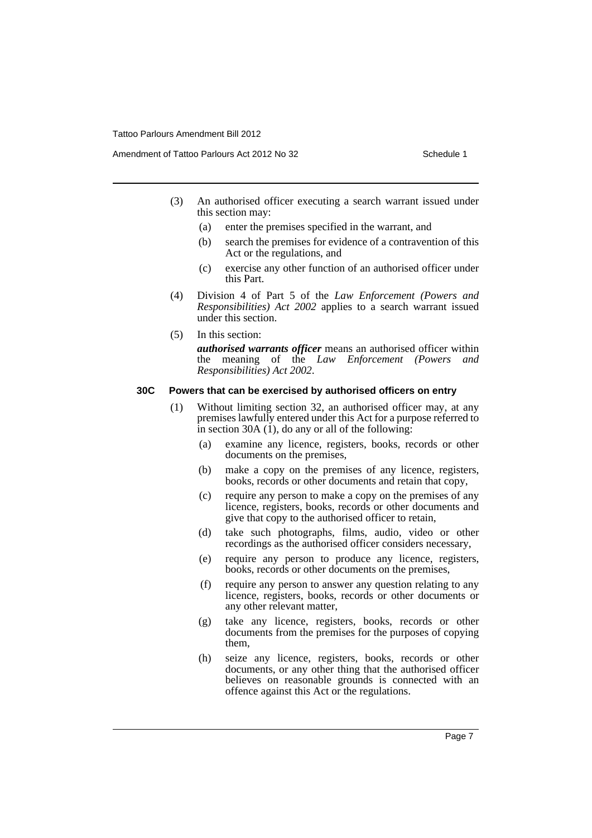Amendment of Tattoo Parlours Act 2012 No 32 Schedule 1

- (3) An authorised officer executing a search warrant issued under this section may:
	- (a) enter the premises specified in the warrant, and
	- (b) search the premises for evidence of a contravention of this Act or the regulations, and
	- (c) exercise any other function of an authorised officer under this Part.
- (4) Division 4 of Part 5 of the *Law Enforcement (Powers and Responsibilities) Act 2002* applies to a search warrant issued under this section.
- (5) In this section:

*authorised warrants officer* means an authorised officer within the meaning of the *Law Enforcement (Powers and Responsibilities) Act 2002*.

#### **30C Powers that can be exercised by authorised officers on entry**

- (1) Without limiting section 32, an authorised officer may, at any premises lawfully entered under this Act for a purpose referred to in section 30A  $(1)$ , do any or all of the following:
	- (a) examine any licence, registers, books, records or other documents on the premises,
	- (b) make a copy on the premises of any licence, registers, books, records or other documents and retain that copy,
	- (c) require any person to make a copy on the premises of any licence, registers, books, records or other documents and give that copy to the authorised officer to retain,
	- (d) take such photographs, films, audio, video or other recordings as the authorised officer considers necessary,
	- (e) require any person to produce any licence, registers, books, records or other documents on the premises,
	- (f) require any person to answer any question relating to any licence, registers, books, records or other documents or any other relevant matter,
	- (g) take any licence, registers, books, records or other documents from the premises for the purposes of copying them,
	- (h) seize any licence, registers, books, records or other documents, or any other thing that the authorised officer believes on reasonable grounds is connected with an offence against this Act or the regulations.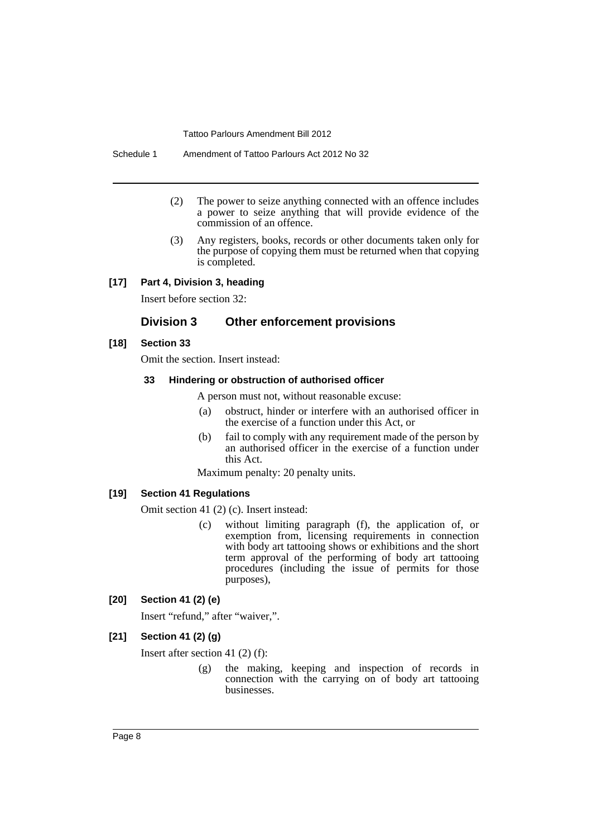Schedule 1 Amendment of Tattoo Parlours Act 2012 No 32

- (2) The power to seize anything connected with an offence includes a power to seize anything that will provide evidence of the commission of an offence.
- (3) Any registers, books, records or other documents taken only for the purpose of copying them must be returned when that copying is completed.

#### **[17] Part 4, Division 3, heading**

Insert before section 32:

## **Division 3 Other enforcement provisions**

#### **[18] Section 33**

Omit the section. Insert instead:

#### **33 Hindering or obstruction of authorised officer**

A person must not, without reasonable excuse:

- (a) obstruct, hinder or interfere with an authorised officer in the exercise of a function under this Act, or
- (b) fail to comply with any requirement made of the person by an authorised officer in the exercise of a function under this Act.

Maximum penalty: 20 penalty units.

#### **[19] Section 41 Regulations**

Omit section 41 (2) (c). Insert instead:

(c) without limiting paragraph (f), the application of, or exemption from, licensing requirements in connection with body art tattooing shows or exhibitions and the short term approval of the performing of body art tattooing procedures (including the issue of permits for those purposes),

#### **[20] Section 41 (2) (e)**

Insert "refund," after "waiver,".

#### **[21] Section 41 (2) (g)**

Insert after section 41 (2) (f):

(g) the making, keeping and inspection of records in connection with the carrying on of body art tattooing businesses.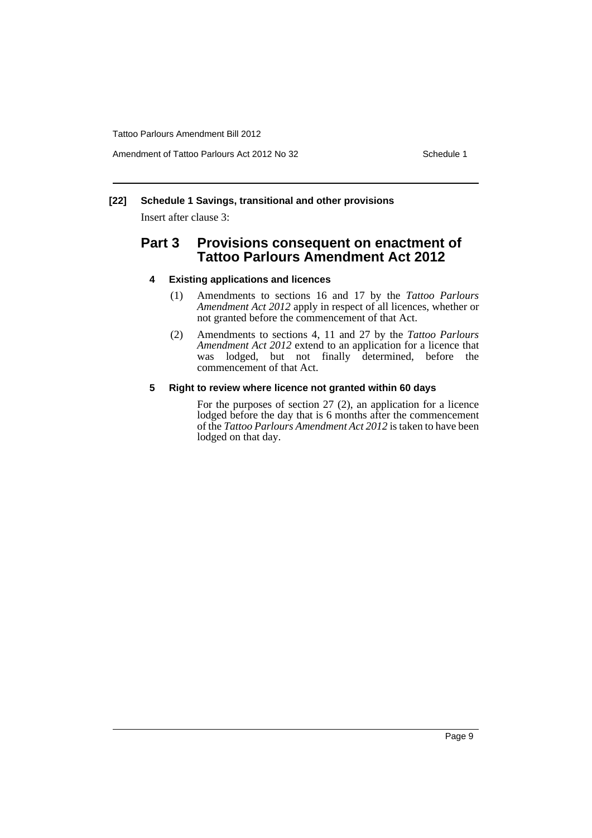Amendment of Tattoo Parlours Act 2012 No 32 Schedule 1

#### **[22] Schedule 1 Savings, transitional and other provisions**

Insert after clause 3:

## **Part 3 Provisions consequent on enactment of Tattoo Parlours Amendment Act 2012**

#### **4 Existing applications and licences**

- (1) Amendments to sections 16 and 17 by the *Tattoo Parlours Amendment Act 2012* apply in respect of all licences, whether or not granted before the commencement of that Act.
- (2) Amendments to sections 4, 11 and 27 by the *Tattoo Parlours Amendment Act 2012* extend to an application for a licence that was lodged, but not finally determined, before the commencement of that Act.

#### **5 Right to review where licence not granted within 60 days**

For the purposes of section 27 (2), an application for a licence lodged before the day that is 6 months after the commencement of the *Tattoo Parlours Amendment Act 2012* is taken to have been lodged on that day.